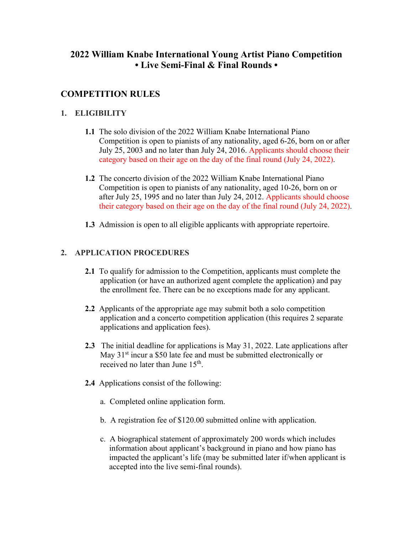# **2022 William Knabe International Young Artist Piano Competition • Live Semi-Final & Final Rounds •**

## **COMPETITION RULES**

### **1. ELIGIBILITY**

- **1.1** The solo division of the 2022 William Knabe International Piano Competition is open to pianists of any nationality, aged 6-26, born on or after July 25, 2003 and no later than July 24, 2016. Applicants should choose their category based on their age on the day of the final round (July 24, 2022).
- **1.2** The concerto division of the 2022 William Knabe International Piano Competition is open to pianists of any nationality, aged 10-26, born on or after July 25, 1995 and no later than July 24, 2012. Applicants should choose their category based on their age on the day of the final round (July 24, 2022).
- **1.3** Admission is open to all eligible applicants with appropriate repertoire.

## **2. APPLICATION PROCEDURES**

- **2.1** To qualify for admission to the Competition, applicants must complete the application (or have an authorized agent complete the application) and pay the enrollment fee. There can be no exceptions made for any applicant.
- **2.2** Applicants of the appropriate age may submit both a solo competition application and a concerto competition application (this requires 2 separate applications and application fees).
- **2.3** The initial deadline for applications is May 31, 2022. Late applications after May 31<sup>st</sup> incur a \$50 late fee and must be submitted electronically or received no later than June 15<sup>th</sup>.
- **2.4** Applications consist of the following:
	- a. Completed online application form.
	- b. A registration fee of \$120.00 submitted online with application.
	- c. A biographical statement of approximately 200 words which includes information about applicant's background in piano and how piano has impacted the applicant's life (may be submitted later if/when applicant is accepted into the live semi-final rounds).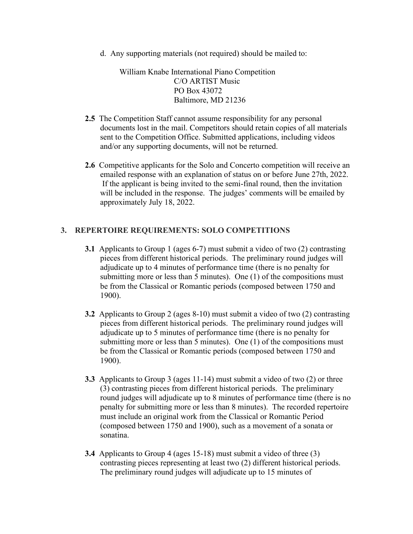d. Any supporting materials (not required) should be mailed to:

William Knabe International Piano Competition C/O ARTIST Music PO Box 43072 Baltimore, MD 21236

- **2.5** The Competition Staff cannot assume responsibility for any personal documents lost in the mail. Competitors should retain copies of all materials sent to the Competition Office. Submitted applications, including videos and/or any supporting documents, will not be returned.
- **2.6** Competitive applicants for the Solo and Concerto competition will receive an emailed response with an explanation of status on or before June 27th, 2022. If the applicant is being invited to the semi-final round, then the invitation will be included in the response. The judges' comments will be emailed by approximately July 18, 2022.

### **3. REPERTOIRE REQUIREMENTS: SOLO COMPETITIONS**

- **3.1** Applicants to Group 1 (ages 6-7) must submit a video of two (2) contrasting pieces from different historical periods. The preliminary round judges will adjudicate up to 4 minutes of performance time (there is no penalty for submitting more or less than 5 minutes). One (1) of the compositions must be from the Classical or Romantic periods (composed between 1750 and 1900).
- **3.2** Applicants to Group 2 (ages 8-10) must submit a video of two (2) contrasting pieces from different historical periods. The preliminary round judges will adjudicate up to 5 minutes of performance time (there is no penalty for submitting more or less than 5 minutes). One (1) of the compositions must be from the Classical or Romantic periods (composed between 1750 and 1900).
- **3.3** Applicants to Group 3 (ages 11-14) must submit a video of two (2) or three (3) contrasting pieces from different historical periods. The preliminary round judges will adjudicate up to 8 minutes of performance time (there is no penalty for submitting more or less than 8 minutes). The recorded repertoire must include an original work from the Classical or Romantic Period (composed between 1750 and 1900), such as a movement of a sonata or sonatina.
- **3.4** Applicants to Group 4 (ages 15-18) must submit a video of three (3) contrasting pieces representing at least two (2) different historical periods. The preliminary round judges will adjudicate up to 15 minutes of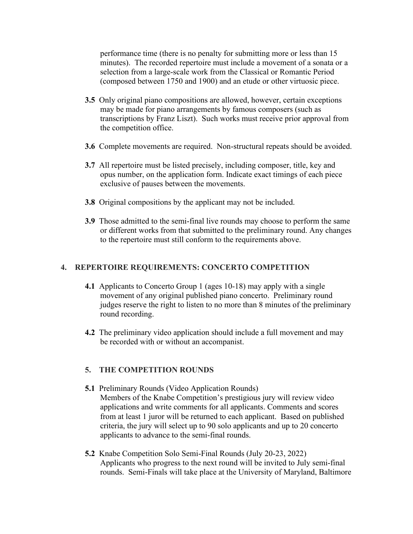performance time (there is no penalty for submitting more or less than 15 minutes). The recorded repertoire must include a movement of a sonata or a selection from a large-scale work from the Classical or Romantic Period (composed between 1750 and 1900) and an etude or other virtuosic piece.

- **3.5** Only original piano compositions are allowed, however, certain exceptions may be made for piano arrangements by famous composers (such as transcriptions by Franz Liszt). Such works must receive prior approval from the competition office.
- **3.6** Complete movements are required. Non-structural repeats should be avoided.
- **3.7** All repertoire must be listed precisely, including composer, title, key and opus number, on the application form. Indicate exact timings of each piece exclusive of pauses between the movements.
- **3.8** Original compositions by the applicant may not be included.
- **3.9** Those admitted to the semi-final live rounds may choose to perform the same or different works from that submitted to the preliminary round. Any changes to the repertoire must still conform to the requirements above.

### **4. REPERTOIRE REQUIREMENTS: CONCERTO COMPETITION**

- **4.1** Applicants to Concerto Group 1 (ages 10-18) may apply with a single movement of any original published piano concerto. Preliminary round judges reserve the right to listen to no more than 8 minutes of the preliminary round recording.
- **4.2** The preliminary video application should include a full movement and may be recorded with or without an accompanist.

### **5. THE COMPETITION ROUNDS**

- **5.1** Preliminary Rounds (Video Application Rounds) Members of the Knabe Competition's prestigious jury will review video applications and write comments for all applicants. Comments and scores from at least 1 juror will be returned to each applicant. Based on published criteria, the jury will select up to 90 solo applicants and up to 20 concerto applicants to advance to the semi-final rounds.
- **5.2** Knabe Competition Solo Semi-Final Rounds (July 20-23, 2022) Applicants who progress to the next round will be invited to July semi-final rounds. Semi-Finals will take place at the University of Maryland, Baltimore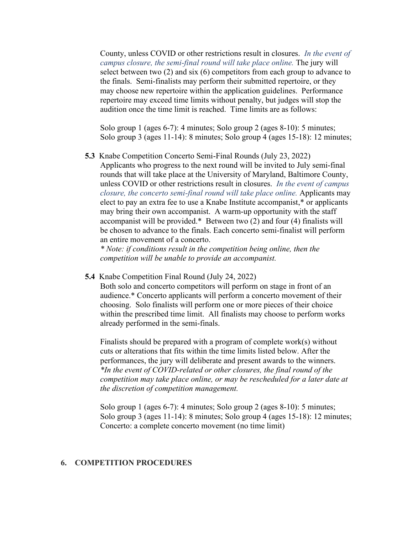County, unless COVID or other restrictions result in closures. *In the event of campus closure, the semi-final round will take place online.* The jury will select between two (2) and six (6) competitors from each group to advance to the finals. Semi-finalists may perform their submitted repertoire, or they may choose new repertoire within the application guidelines. Performance repertoire may exceed time limits without penalty, but judges will stop the audition once the time limit is reached. Time limits are as follows:

Solo group 1 (ages 6-7): 4 minutes; Solo group 2 (ages 8-10): 5 minutes; Solo group 3 (ages 11-14): 8 minutes; Solo group 4 (ages 15-18): 12 minutes;

**5.3** Knabe Competition Concerto Semi-Final Rounds (July 23, 2022) Applicants who progress to the next round will be invited to July semi-final rounds that will take place at the University of Maryland, Baltimore County, unless COVID or other restrictions result in closures. *In the event of campus closure, the concerto semi-final round will take place online.* Applicants may elect to pay an extra fee to use a Knabe Institute accompanist,\* or applicants may bring their own accompanist. A warm-up opportunity with the staff accompanist will be provided.\* Between two (2) and four (4) finalists will be chosen to advance to the finals. Each concerto semi-finalist will perform an entire movement of a concerto.

*\* Note: if conditions result in the competition being online, then the competition will be unable to provide an accompanist.*

**5.4** Knabe Competition Final Round (July 24, 2022)

Both solo and concerto competitors will perform on stage in front of an audience.\* Concerto applicants will perform a concerto movement of their choosing. Solo finalists will perform one or more pieces of their choice within the prescribed time limit. All finalists may choose to perform works already performed in the semi-finals.

Finalists should be prepared with a program of complete work(s) without cuts or alterations that fits within the time limits listed below. After the performances, the jury will deliberate and present awards to the winners. *\*In the event of COVID-related or other closures, the final round of the competition may take place online, or may be rescheduled for a later date at the discretion of competition management.*

Solo group 1 (ages 6-7): 4 minutes; Solo group 2 (ages 8-10): 5 minutes; Solo group 3 (ages 11-14): 8 minutes; Solo group 4 (ages 15-18): 12 minutes; Concerto: a complete concerto movement (no time limit)

#### **6. COMPETITION PROCEDURES**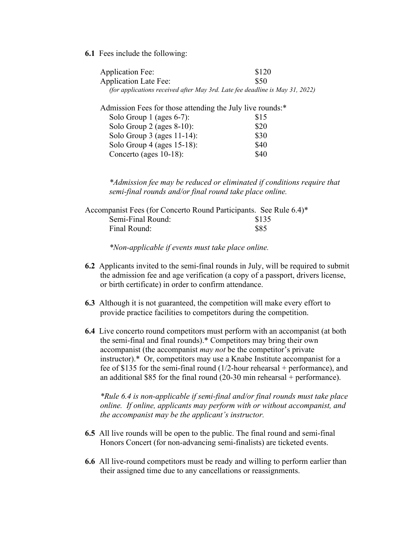**6.1** Fees include the following:

| <b>Application Fee:</b>                                                      | \$120 |
|------------------------------------------------------------------------------|-------|
| <b>Application Late Fee:</b>                                                 | \$50  |
| (for applications received after May 3rd. Late fee deadline is May 31, 2022) |       |
| Admission Fees for those attending the July live rounds:*                    |       |
| Solo Group $1$ (ages 6-7):                                                   | \$15  |
| Solo Group $2$ (ages $8-10$ ):                                               | \$20  |
| Solo Group $3$ (ages 11-14):                                                 | \$30  |
| Solo Group $4$ (ages 15-18):                                                 | \$40  |
| Concerto (ages $10-18$ ):                                                    | S40   |
|                                                                              |       |

*\*Admission fee may be reduced or eliminated if conditions require that semi-final rounds and/or final round take place online.*

|                   | Accompanist Fees (for Concerto Round Participants. See Rule 6.4)* |
|-------------------|-------------------------------------------------------------------|
| Semi-Final Round: | \$135                                                             |
| Final Round:      | \$85                                                              |

*\*Non-applicable if events must take place online.*

- **6.2** Applicants invited to the semi-final rounds in July, will be required to submit the admission fee and age verification (a copy of a passport, drivers license, or birth certificate) in order to confirm attendance.
- **6.3** Although it is not guaranteed, the competition will make every effort to provide practice facilities to competitors during the competition.
- **6.4** Live concerto round competitors must perform with an accompanist (at both the semi-final and final rounds).\* Competitors may bring their own accompanist (the accompanist *may not* be the competitor's private instructor).\* Or, competitors may use a Knabe Institute accompanist for a fee of \$135 for the semi-final round (1/2-hour rehearsal + performance), and an additional \$85 for the final round (20-30 min rehearsal + performance).

*\*Rule 6.4 is non-applicable if semi-final and/or final rounds must take place online. If online, applicants may perform with or without accompanist, and the accompanist may be the applicant's instructor.*

- **6.5** All live rounds will be open to the public. The final round and semi-final Honors Concert (for non-advancing semi-finalists) are ticketed events.
- **6.6** All live-round competitors must be ready and willing to perform earlier than their assigned time due to any cancellations or reassignments.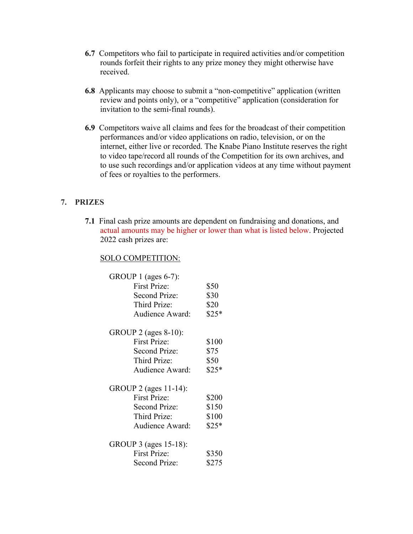- **6.7** Competitors who fail to participate in required activities and/or competition rounds forfeit their rights to any prize money they might otherwise have received.
- **6.8** Applicants may choose to submit a "non-competitive" application (written review and points only), or a "competitive" application (consideration for invitation to the semi-final rounds).
- **6.9** Competitors waive all claims and fees for the broadcast of their competition performances and/or video applications on radio, television, or on the internet, either live or recorded. The Knabe Piano Institute reserves the right to video tape/record all rounds of the Competition for its own archives, and to use such recordings and/or application videos at any time without payment of fees or royalties to the performers.

## **7. PRIZES**

**7.1** Final cash prize amounts are dependent on fundraising and donations, and actual amounts may be higher or lower than what is listed below. Projected 2022 cash prizes are:

### SOLO COMPETITION:

| GROUP 1 (ages $6-7$ ): |        |
|------------------------|--------|
| <b>First Prize:</b>    | \$50   |
| <b>Second Prize:</b>   | \$30   |
| Third Prize:           | \$20   |
| <b>Audience Award:</b> | $$25*$ |
| GROUP 2 (ages 8-10):   |        |
| <b>First Prize:</b>    | \$100  |
| <b>Second Prize:</b>   | \$75   |
| Third Prize:           | \$50   |
| Audience Award:        | $$25*$ |
| GROUP 2 (ages 11-14):  |        |
| <b>First Prize:</b>    | \$200  |
| <b>Second Prize:</b>   | \$150  |
| Third Prize:           | \$100  |
| Audience Award:        | $$25*$ |
| GROUP 3 (ages 15-18):  |        |
| <b>First Prize:</b>    | \$350  |
| <b>Second Prize:</b>   | \$275  |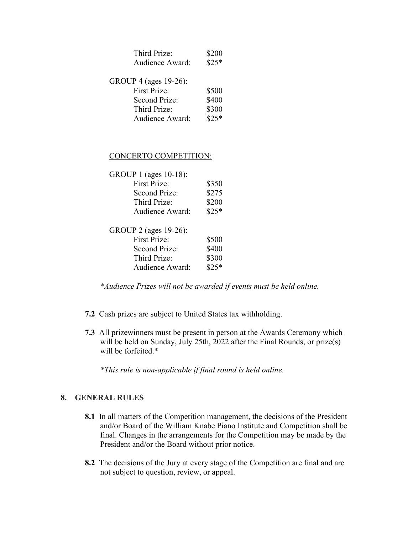| Third Prize:           | \$200  |
|------------------------|--------|
| Audience Award:        | $$25*$ |
| GROUP 4 (ages 19-26):  |        |
| <b>First Prize:</b>    | \$500  |
| Second Prize:          | \$400  |
| Third Prize:           | \$300  |
| <b>Audience Award:</b> | $$25*$ |
|                        |        |

### CONCERTO COMPETITION:

| GROUP 1 (ages 10-18): |        |
|-----------------------|--------|
| <b>First Prize:</b>   | \$350  |
| Second Prize:         | \$275  |
| Third Prize:          | \$200  |
| Audience Award:       | $$25*$ |
| GROUP 2 (ages 19-26): |        |
| First Prize:          | \$500  |
| Second Prize:         | \$400  |
| Third Prize:          | \$300  |
| Audience Award:       |        |

*\*Audience Prizes will not be awarded if events must be held online.*

- **7.2** Cash prizes are subject to United States tax withholding.
- **7.3** All prizewinners must be present in person at the Awards Ceremony which will be held on Sunday, July 25th, 2022 after the Final Rounds, or prize(s) will be forfeited.\*

*\*This rule is non-applicable if final round is held online.*

### **8. GENERAL RULES**

- **8.1** In all matters of the Competition management, the decisions of the President and/or Board of the William Knabe Piano Institute and Competition shall be final. Changes in the arrangements for the Competition may be made by the President and/or the Board without prior notice.
- **8.2** The decisions of the Jury at every stage of the Competition are final and are not subject to question, review, or appeal.